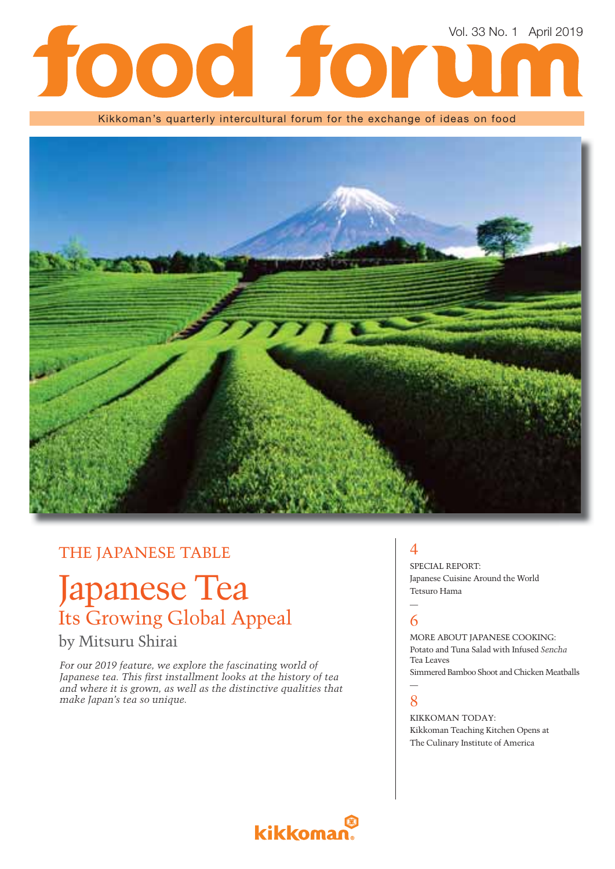# Vol. 33 No. 1 April 2019lod for

Kikkoman's quarterly intercultural forum for the exchange of ideas on food



### THE JAPANESE TABLE

# Japanese Tea Its Growing Global Appeal

### by Mitsuru Shirai

*For our 2019 feature, we explore the fascinating world of*  Japanese tea. This first installment looks at the history of tea *and where it is grown, as well as the distinctive qualities that make Japan's tea so unique.*

## $\boldsymbol{\Delta}$

SPECIAL REPORT: Japanese Cuisine Around the World Tetsuro Hama

#### — 6

MORE ABOUT JAPANESE COOKING: Potato and Tuna Salad with Infused *Sencha*  Tea Leaves Simmered Bamboo Shoot and Chicken Meatballs

#### — 8

KIKKOMAN TODAY: Kikkoman Teaching Kitchen Opens at The Culinary Institute of America

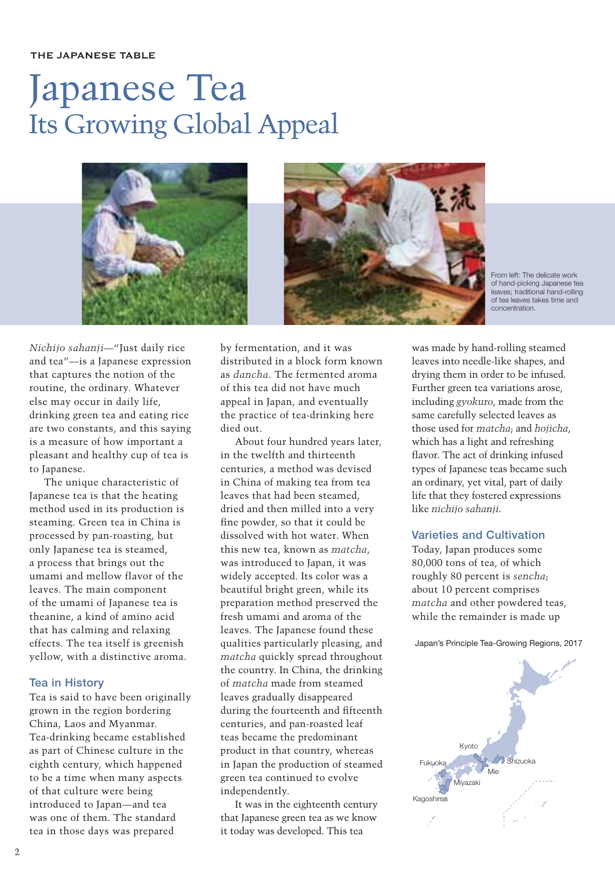#### THE JAPANESE TABLE

# Japanese Tea Its Growing Global Appeal





From left: The delicate work of hand-picking Japanese tea leaves; traditional hand-rolling of tea leaves takes time and concentration.

*Nichijo sahanji*—"Just daily rice and tea"—is a Japanese expression that captures the notion of the routine, the ordinary. Whatever else may occur in daily life, drinking green tea and eating rice are two constants, and this saying is a measure of how important a pleasant and healthy cup of tea is to Japanese.

The unique characteristic of Japanese tea is that the heating method used in its production is steaming. Green tea in China is processed by pan-roasting, but only Japanese tea is steamed, a process that brings out the umami and mellow flavor of the leaves. The main component of the umami of Japanese tea is theanine, a kind of amino acid that has calming and relaxing effects. The tea itself is greenish yellow, with a distinctive aroma.

#### **Tea in History**

Tea is said to have been originally grown in the region bordering China, Laos and Myanmar. Tea-drinking became established as part of Chinese culture in the eighth century, which happened to be a time when many aspects of that culture were being introduced to Japan—and tea was one of them. The standard tea in those days was prepared

by fermentation, and it was distributed in a block form known as *dancha*. The fermented aroma of this tea did not have much appeal in Japan, and eventually the practice of tea-drinking here died out.

About four hundred years later, in the twelfth and thirteenth centuries, a method was devised in China of making tea from tea leaves that had been steamed, dried and then milled into a very fine powder, so that it could be dissolved with hot water. When this new tea, known as *matcha*, was introduced to Japan, it was widely accepted. Its color was a beautiful bright green, while its preparation method preserved the fresh umami and aroma of the leaves. The Japanese found these qualities particularly pleasing, and *matcha* quickly spread throughout the country. In China, the drinking of *matcha* made from steamed leaves gradually disappeared during the fourteenth and fifteenth centuries, and pan-roasted leaf teas became the predominant product in that country, whereas in Japan the production of steamed green tea continued to evolve independently.

It was in the eighteenth century that Japanese green tea as we know it today was developed. This tea

was made by hand-rolling steamed leaves into needle-like shapes, and drying them in order to be infused. Further green tea variations arose, including *gyokuro*, made from the same carefully selected leaves as those used for *matcha*; and *hojicha*, which has a light and refreshing flavor. The act of drinking infused types of Japanese teas became such an ordinary, yet vital, part of daily life that they fostered expressions like *nichijo sahanji*.

#### **Varieties and Cultivation**

Today, Japan produces some 80,000 tons of tea, of which roughly 80 percent is *sencha*; about 10 percent comprises *matcha* and other powdered teas, while the remainder is made up

Japan's Principle Tea-Growing Regions, 2017

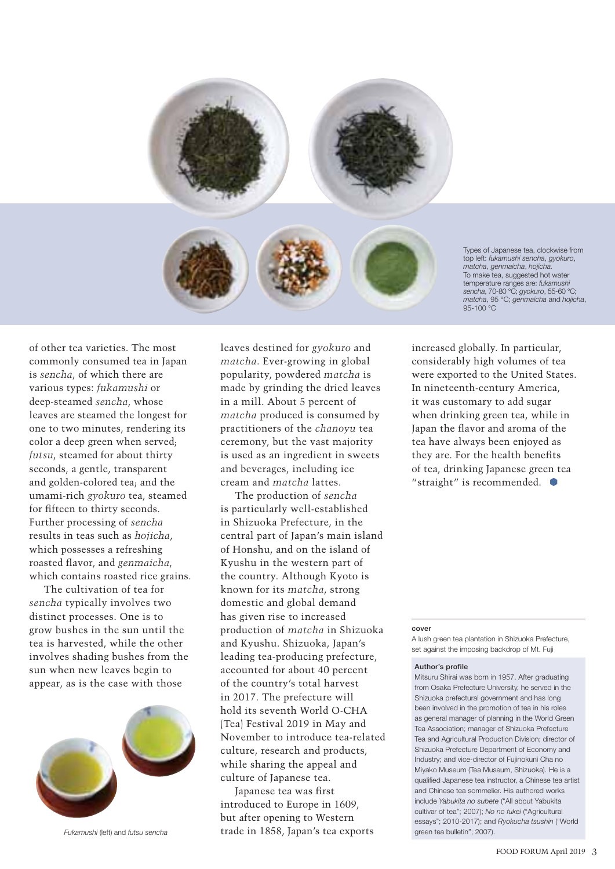

Types of Japanese tea, clockwise from top left: *fukamushi sencha*, *gyokuro*, *matcha*, *genmaicha*, *hojicha.* To make tea, suggested hot water temperature ranges are: *fukamushi sencha*, 70-80 °C; *gyokuro*, 55-60 °C; *matcha*, 95 °C; *genmaicha* and *hojicha*, 95-100 °C

of other tea varieties. The most commonly consumed tea in Japan is *sencha*, of which there are various types: *fukamushi* or deep-steamed *sencha*, whose leaves are steamed the longest for one to two minutes, rendering its color a deep green when served; *futsu*, steamed for about thirty seconds, a gentle, transparent and golden-colored tea; and the umami-rich *gyokuro* tea, steamed for fifteen to thirty seconds. Further processing of *sencha*  results in teas such as *hojicha*, which possesses a refreshing roasted flavor, and *genmaicha*, which contains roasted rice grains.

The cultivation of tea for *sencha* typically involves two distinct processes. One is to grow bushes in the sun until the tea is harvested, while the other involves shading bushes from the sun when new leaves begin to appear, as is the case with those



leaves destined for *gyokuro* and *matcha*. Ever-growing in global popularity, powdered *matcha* is made by grinding the dried leaves in a mill. About 5 percent of *matcha* produced is consumed by practitioners of the *chanoyu* tea ceremony, but the vast majority is used as an ingredient in sweets and beverages, including ice cream and *matcha* lattes.

The production of *sencha* is particularly well-established in Shizuoka Prefecture, in the central part of Japan's main island of Honshu, and on the island of Kyushu in the western part of the country. Although Kyoto is known for its *matcha*, strong domestic and global demand has given rise to increased production of *matcha* in Shizuoka and Kyushu. Shizuoka, Japan's leading tea-producing prefecture, accounted for about 40 percent of the country's total harvest in 2017. The prefecture will hold its seventh World O-CHA (Tea) Festival 2019 in May and November to introduce tea-related culture, research and products, while sharing the appeal and culture of Japanese tea.

Japanese tea was first introduced to Europe in 1609, but after opening to Western trade in 1858, Japan's tea exports *Fukamushi* (left) and *futsu sencha* green tea bulletin"; 2007).

increased globally. In particular, considerably high volumes of tea were exported to the United States. In nineteenth-century America, it was customary to add sugar when drinking green tea, while in Japan the flavor and aroma of the tea have always been enjoyed as they are. For the health benefits of tea, drinking Japanese green tea "straight" is recommended.

#### **cover**

A lush green tea plantation in Shizuoka Prefecture, set against the imposing backdrop of Mt. Fuji

#### **Author's profile**

Mitsuru Shirai was born in 1957. After graduating from Osaka Prefecture University, he served in the Shizuoka prefectural government and has long been involved in the promotion of tea in his roles as general manager of planning in the World Green Tea Association; manager of Shizuoka Prefecture Tea and Agricultural Production Division; director of Shizuoka Prefecture Department of Economy and Industry; and vice-director of Fujinokuni Cha no Miyako Museum (Tea Museum, Shizuoka). He is a qualified Japanese tea instructor, a Chinese tea artist and Chinese tea sommelier. His authored works include *Yabukita no subete* ("All about Yabukita cultivar of tea"; 2007); *No no fukei* ("Agricultural essays"; 2010-2017); and *Ryokucha tsushin* ("World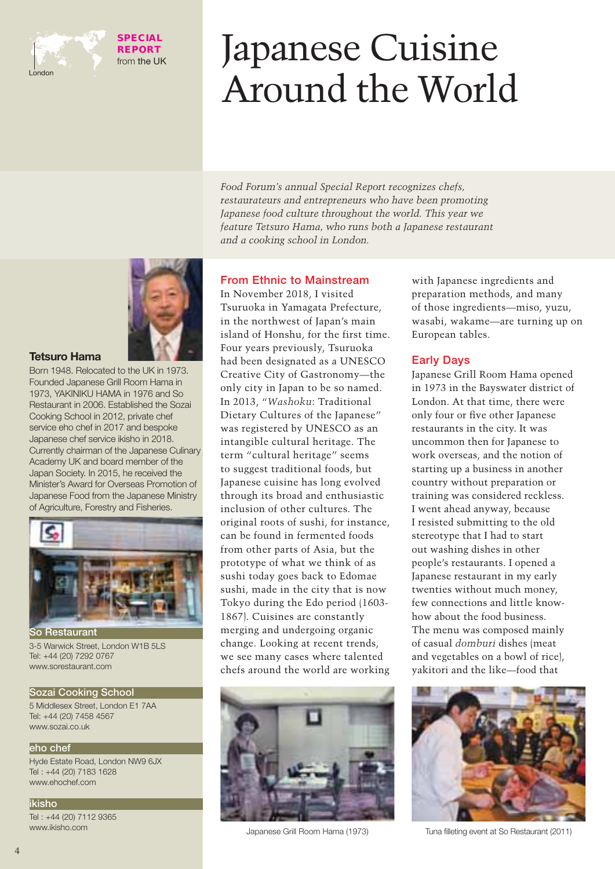

**SPECIAL REPORT** from the UK

# Japanese Cuisine Around the World

*Food Forum's annual Special Report recognizes chefs, restaurateurs and entrepreneurs who have been promoting Japanese food culture throughout the world. This year we feature Tetsuro Hama, who runs both a Japanese restaurant and a cooking school in London.*



#### **Tetsuro Hama**

Born 1948. Relocated to the UK in 1973. Founded Japanese Grill Room Hama in 1973, YAKINIKU HAMA in 1976 and So Restaurant in 2006. Established the Sozai Cooking School in 2012, private chef service eho chef in 2017 and bespoke Japanese chef service ikisho in 2018. Currently chairman of the Japanese Culinary Academy UK and board member of the Japan Society. In 2015, he received the Minister's Award for Overseas Promotion of Japanese Food from the Japanese Ministry of Agriculture, Forestry and Fisheries.



3-5 Warwick Street, London W1B 5LS Tel: +44 (20) 7292 0767 www.sorestaurant.com

#### **Sozai Cooking School**

5 Middlesex Street, London E1 7AA Tel: +44 (20) 7458 4567 www.sozai.co.uk

#### **eho chef**

Hyde Estate Road, London NW9 6JX Tel : +44 (20) 7183 1628 www.ehochef.com

#### **ikisho**

Tel : +44 (20) 7112 9365 www.ikisho.com

#### **From Ethnic to Mainstream**

In November 2018, I visited Tsuruoka in Yamagata Prefecture, in the northwest of Japan's main island of Honshu, for the first time. Four years previously, Tsuruoka had been designated as a UNESCO Creative City of Gastronomy—the only city in Japan to be so named. In 2013, "*Washoku*: Traditional Dietary Cultures of the Japanese" was registered by UNESCO as an intangible cultural heritage. The term "cultural heritage" seems to suggest traditional foods, but Japanese cuisine has long evolved through its broad and enthusiastic inclusion of other cultures. The original roots of sushi, for instance, can be found in fermented foods from other parts of Asia, but the prototype of what we think of as sushi today goes back to Edomae sushi, made in the city that is now Tokyo during the Edo period (1603- 1867). Cuisines are constantly merging and undergoing organic change. Looking at recent trends, we see many cases where talented chefs around the world are working



with Japanese ingredients and preparation methods, and many of those ingredients—miso, yuzu, wasabi, wakame—are turning up on European tables.

#### **Early Days**

Japanese Grill Room Hama opened in 1973 in the Bayswater district of London. At that time, there were only four or five other Japanese restaurants in the city. It was uncommon then for Japanese to work overseas, and the notion of starting up a business in another country without preparation or training was considered reckless. I went ahead anyway, because I resisted submitting to the old stereotype that I had to start out washing dishes in other people's restaurants. I opened a Japanese restaurant in my early twenties without much money, few connections and little knowhow about the food business. The menu was composed mainly of casual *domburi* dishes (meat and vegetables on a bowl of rice), yakitori and the like—food that



Japanese Grill Room Hama (1973) Tuna fi lleting event at So Restaurant (2011)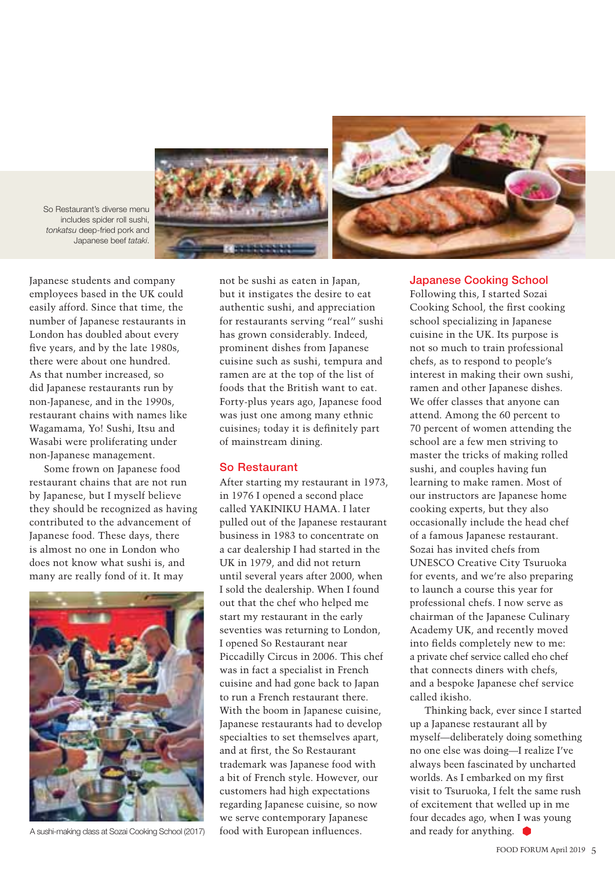



So Restaurant's diverse menu includes spider roll sushi, *tonkatsu* deep-fried pork and Japanese beef *tataki*.

Japanese students and company employees based in the UK could easily afford. Since that time, the number of Japanese restaurants in London has doubled about every five years, and by the late 1980s, there were about one hundred. As that number increased, so did Japanese restaurants run by non-Japanese, and in the 1990s, restaurant chains with names like Wagamama, Yo! Sushi, Itsu and Wasabi were proliferating under non-Japanese management.

Some frown on Japanese food restaurant chains that are not run by Japanese, but I myself believe they should be recognized as having contributed to the advancement of Japanese food. These days, there is almost no one in London who does not know what sushi is, and many are really fond of it. It may



not be sushi as eaten in Japan, but it instigates the desire to eat authentic sushi, and appreciation for restaurants serving "real" sushi has grown considerably. Indeed, prominent dishes from Japanese cuisine such as sushi, tempura and ramen are at the top of the list of foods that the British want to eat. Forty-plus years ago, Japanese food was just one among many ethnic cuisines; today it is definitely part of mainstream dining.

#### **So Restaurant**

After starting my restaurant in 1973, in 1976 I opened a second place called YAKINIKU HAMA. I later pulled out of the Japanese restaurant business in 1983 to concentrate on a car dealership I had started in the UK in 1979, and did not return until several years after 2000, when I sold the dealership. When I found out that the chef who helped me start my restaurant in the early seventies was returning to London, I opened So Restaurant near Piccadilly Circus in 2006. This chef was in fact a specialist in French cuisine and had gone back to Japan to run a French restaurant there. With the boom in Japanese cuisine, Japanese restaurants had to develop specialties to set themselves apart, and at first, the So Restaurant trademark was Japanese food with a bit of French style. However, our customers had high expectations regarding Japanese cuisine, so now we serve contemporary Japanese food with European influences. A sushi-making class at Sozai Cooking School (2017) food with European influences.  $\Box$  and ready for anything.

#### **Japanese Cooking School**

Following this, I started Sozai Cooking School, the first cooking school specializing in Japanese cuisine in the UK. Its purpose is not so much to train professional chefs, as to respond to people's interest in making their own sushi, ramen and other Japanese dishes. We offer classes that anyone can attend. Among the 60 percent to 70 percent of women attending the school are a few men striving to master the tricks of making rolled sushi, and couples having fun learning to make ramen. Most of our instructors are Japanese home cooking experts, but they also occasionally include the head chef of a famous Japanese restaurant. Sozai has invited chefs from UNESCO Creative City Tsuruoka for events, and we're also preparing to launch a course this year for professional chefs. I now serve as chairman of the Japanese Culinary Academy UK, and recently moved into fields completely new to me: a private chef service called eho chef that connects diners with chefs, and a bespoke Japanese chef service called ikisho.

Thinking back, ever since I started up a Japanese restaurant all by myself—deliberately doing something no one else was doing—I realize I've always been fascinated by uncharted worlds. As I embarked on my first visit to Tsuruoka, I felt the same rush of excitement that welled up in me four decades ago, when I was young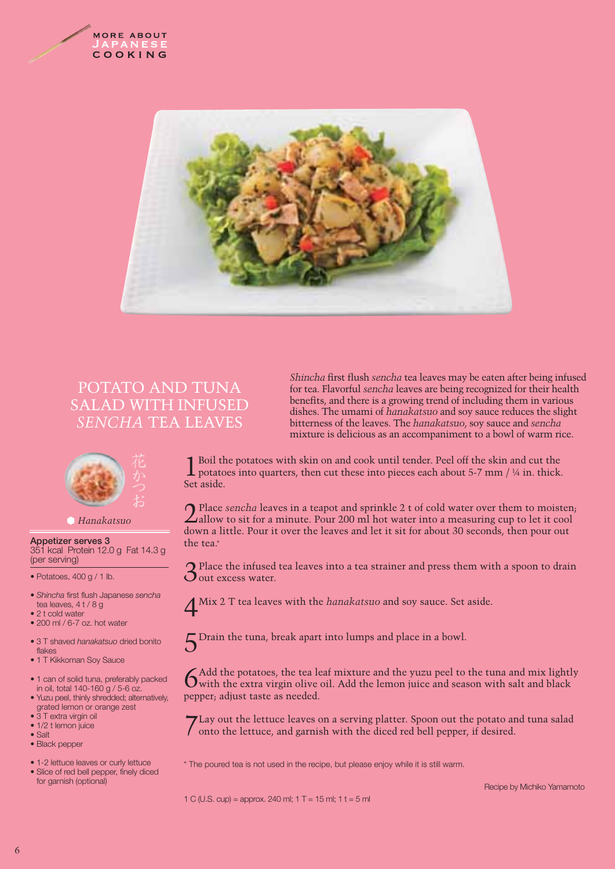



### POTATO AND TUNA SALAD WITH INFUSED *SENCHA* TEA LEAVES



#### *Hanakatsuo*

**Appetizer serves 3** 351 kcal Protein 12.0 g Fat 14.3 g (per serving)

• Potatoes, 400 g / 1 lb.

- *Shincha* first flush Japanese *sencha*  tea leaves, 4 t / 8 g
- 2 t cold water
- 200 ml / 6-7 oz. hot water
- 3 T shaved *hanakatsuo* dried bonito flakes
- 1 T Kikkoman Soy Sauce
- 1 can of solid tuna, preferably packed in oil, total 140-160 g / 5-6 oz.
- Yuzu peel, thinly shredded; alternatively, grated lemon or orange zest
- 3 T extra virgin oil
- 1/2 t lemon juice
- Salt
- Black pepper
- 1-2 lettuce leaves or curly lettuce
- Slice of red bell pepper, finely diced for garnish (optional)

*Shincha first flush sencha tea leaves may be eaten after being infused* for tea. Flavorful *sencha* leaves are being recognized for their health benefits, and there is a growing trend of including them in various dishes. The umami of *hanakatsuo* and soy sauce reduces the slight bitterness of the leaves. The *hanakatsuo*, soy sauce and *sencha* mixture is delicious as an accompaniment to a bowl of warm rice.

I Boil the potatoes with skin on and cook until tender. Peel off the skin and cut the potatoes into quarters, then cut these into pieces each about 5-7 mm / ¼ in. thick. Set aside.

Place *sencha* leaves in a teapot and sprinkle 2 t of cold water over them to moisten;  $\angle$ allow to sit for a minute. Pour 200 ml hot water into a measuring cup to let it cool down a little. Pour it over the leaves and let it sit for about 30 seconds, then pour out the tea.\*

3Place the infused tea leaves into a tea strainer and press them with a spoon to drain  $\mathbf$ Out excess water.

4Mix 2 T tea leaves with the *hanakatsuo* and soy sauce. Set aside.

5Drain the tuna, break apart into lumps and place in a bowl.

 $6$ Add the potatoes, the tea leaf mixture and the yuzu peel to the tuna and mix lightly with the extra virgin olive oil. Add the lemon juice and season with salt and black pepper; adjust taste as needed.

7Lay out the lettuce leaves on a serving platter. Spoon out the potato and tuna salad onto the lettuce, and garnish with the diced red bell pepper, if desired.

\* The poured tea is not used in the recipe, but please enjoy while it is still warm.

1 C (U.S. cup) = approx. 240 ml;  $1 T = 15$  ml;  $1 t = 5$  ml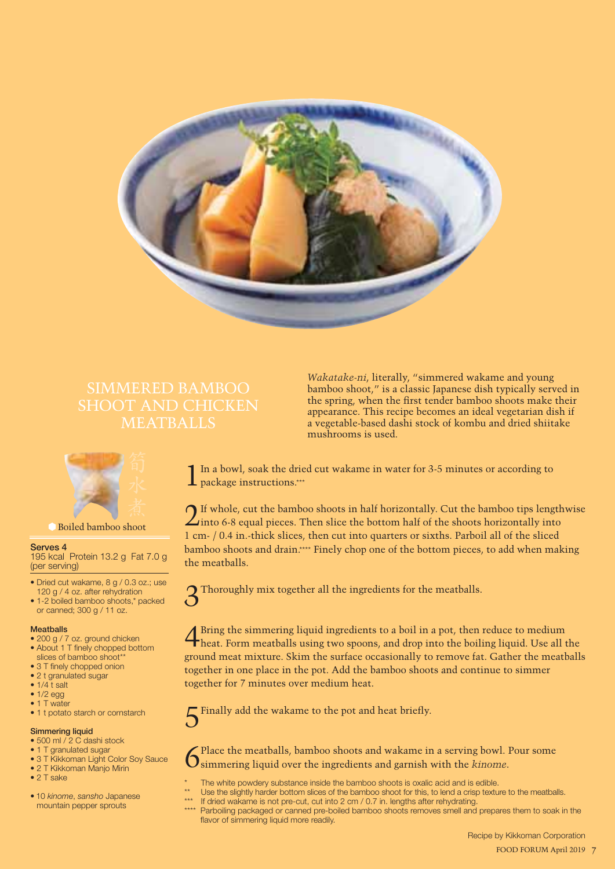

# SIMMERED BAMBOO



Boiled bamboo shoot

#### **Serves 4**

195 kcal Protein 13.2 g Fat 7.0 g (per serving)

- Dried cut wakame, 8 g / 0.3 oz.; use 120 g / 4 oz. after rehydration
- 1-2 boiled bamboo shoots,\* packed or canned; 300 g / 11 oz.

#### **Meatballs**

- 200 g / 7 oz. ground chicken
- About 1 T finely chopped bottom slices of bamboo shoot\*\*
- 3 T finely chopped onion
- 2 t granulated sugar
- $\bullet$  1/4 t salt
- 1/2 egg
- 1 T water
- 1 t potato starch or cornstarch

#### **Simmering liquid**

- 500 ml / 2 C dashi stock
- 1 T granulated sugar
- 3 T Kikkoman Light Color Soy Sauce • 2 T Kikkoman Manjo Mirin
- 2 T sake
- 
- 10 *kinome*, *sansho* Japanese mountain pepper sprouts

*Wakatake-ni*, literally, "simmered wakame and young bamboo shoot," is a classic Japanese dish typically served in the spring, when the first tender bamboo shoots make their appearance. This recipe becomes an ideal vegetarian dish if a vegetable-based dashi stock of kombu and dried shiitake mushrooms is used.

In a bowl, soak the dried cut wakame in water for 3-5 minutes or according to **1** package instructions.\*\*\*

2If whole, cut the bamboo shoots in half horizontally. Cut the bamboo tips lengthwise  $\angle$ into 6-8 equal pieces. Then slice the bottom half of the shoots horizontally into 1 cm- / 0.4 in.-thick slices, then cut into quarters or sixths. Parboil all of the sliced bamboo shoots and drain.\*\*\*\* Finely chop one of the bottom pieces, to add when making the meatballs.

3Thoroughly mix together all the ingredients for the meatballs.

4Bring the simmering liquid ingredients to a boil in a pot, then reduce to medium heat. Form meatballs using two spoons, and drop into the boiling liquid. Use all the ground meat mixture. Skim the surface occasionally to remove fat. Gather the meatballs together in one place in the pot. Add the bamboo shoots and continue to simmer together for 7 minutes over medium heat.

Finally add the wakame to the pot and heat briefly.

Place the meatballs, bamboo shoots and wakame in a serving bowl. Pour some simmering liquid over the ingredients and garnish with the *kinome*.

- The white powdery substance inside the bamboo shoots is oxalic acid and is edible.
- Use the slightly harder bottom slices of the bamboo shoot for this, to lend a crisp texture to the meatballs.
	- If dried wakame is not pre-cut, cut into 2 cm / 0.7 in. lengths after rehydrating.
	- \*\*\*\* Parboiling packaged or canned pre-boiled bamboo shoots removes smell and prepares them to soak in the flavor of simmering liquid more readily.

 Recipe by Kikkoman Corporation 7 FOOD FORUM April 2019